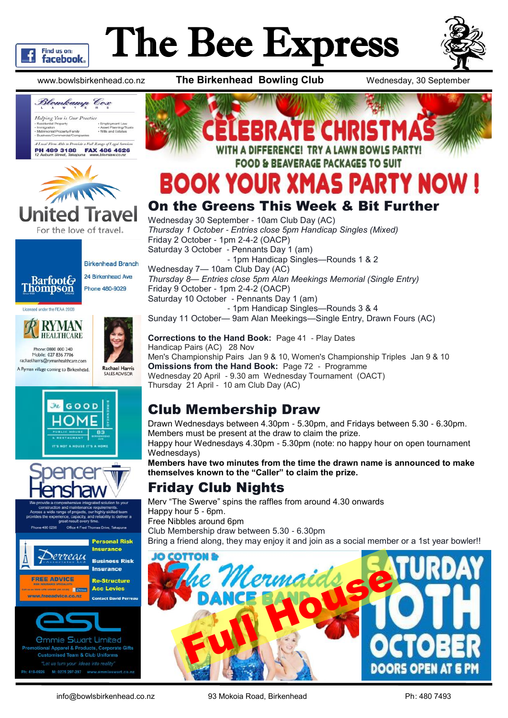

# The Bee Express



www.bowlsbirkenhead.co.nz **The Birkenhead Bowling Club** Wednesday, 30 September



For the love of travel.

Blomkamp Cox



## BOOK YOUR XMAS P

#### On the Greens This Week & Bit Further

Wednesday 30 September - 10am Club Day (AC) *Thursday 1 October - Entries close 5pm Handicap Singles (Mixed)* Friday 2 October - 1pm 2-4-2 (OACP) Saturday 3 October - Pennants Day 1 (am) - 1pm Handicap Singles—Rounds 1 & 2 Wednesday 7— 10am Club Day (AC) *Thursday 8— Entries close 5pm Alan Meekings Memorial (Single Entry)* Friday 9 October - 1pm 2-4-2 (OACP) Saturday 10 October - Pennants Day 1 (am) - 1pm Handicap Singles—Rounds 3 & 4 Sunday 11 October— 9am Alan Meekings—Single Entry, Drawn Fours (AC)

**Corrections to the Hand Book:** Page 41 - Play Dates Handicap Pairs (AC) 28 Nov Men's Championship Pairs Jan 9 & 10, Women's Championship Triples Jan 9 & 10 **Omissions from the Hand Book:** Page 72 - Programme Wednesday 20 April - 9.30 am Wednesday Tournament (OACT) Thursday 21 April - 10 am Club Day (AC)

#### Club Membership Draw

Drawn Wednesdays between 4.30pm - 5.30pm, and Fridays between 5.30 - 6.30pm. Members must be present at the draw to claim the prize. Happy hour Wednesdays 4.30pm - 5.30pm (note: no happy hour on open tournament Wednesdays) **Members have two minutes from the time the drawn name is announced to make themselves known to the "Caller" to claim the prize.**

#### Friday Club Nights

Merv "The Swerve" spins the raffles from around 4.30 onwards Happy hour 5 - 6pm. Free Nibbles around 6pm Club Membership draw between 5.30 - 6.30pm Bring a friend along, they may enjoy it and join as a social member or a 1st year bowler!!



#### **Barfoot& Thompson** Licensed under the REAA 2008



**Birkenhead Branch** 24 Birkenhead Ave

Phone 480-9029

Phone: 0800 000 240 Mobile: 027 836 7706 rachael.harris@rymanhealthcare.com A Ryman village coming to Birkenhead.







Office 4 Fred Thomas Drive, Takapuna



*<u>Ommie Swart Limited</u>* otional Apparel & Products, Corporate Gifts **Customised Team & Club Uniforms** Ph: 419-0926 M: 0275 297-297 www.emmieswart.co.n